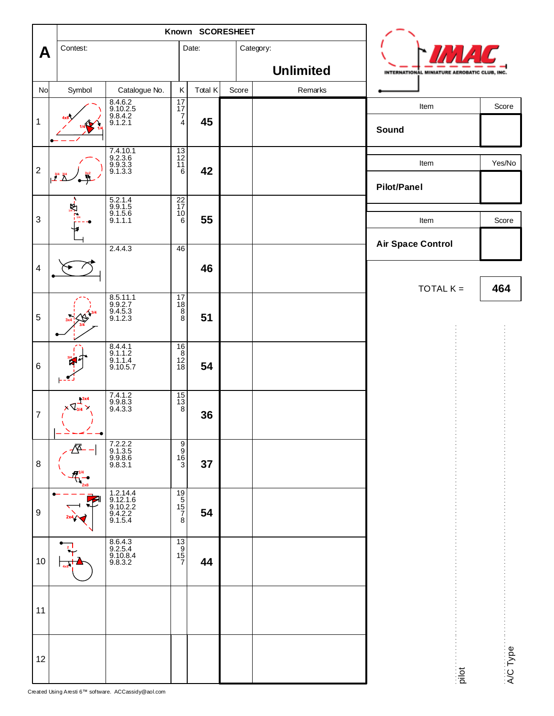|                         |                                        | Known SCORESHEET                                       |                                                                |         |       |           |                             |  |                                              |          |  |
|-------------------------|----------------------------------------|--------------------------------------------------------|----------------------------------------------------------------|---------|-------|-----------|-----------------------------|--|----------------------------------------------|----------|--|
| A                       | Contest:                               |                                                        |                                                                | Date:   |       | Category: |                             |  |                                              |          |  |
| No                      | Symbol                                 | Catalogue No.                                          | Κ                                                              | Total K | Score |           | <b>Unlimited</b><br>Remarks |  | INTERNATIONAL MINIATURE AEROBATIC CLUB, INC. |          |  |
|                         |                                        |                                                        | $\begin{array}{c}\n17 \\ 17 \\ 7\n\end{array}$                 |         |       |           |                             |  | Item                                         | Score    |  |
| $\mathbf{1}$            |                                        | 8.4.6.2<br>9.10.2.5<br>9.8.4.2<br>9.1.2.1              | $\overline{4}$                                                 | 45      |       |           |                             |  | Sound                                        |          |  |
| $\sqrt{2}$              | $\frac{3/4}{2}$                        | 7.4.10.1<br>9.2.3.6<br>9.9.3.3<br>9.1.3.3              | $\frac{13}{12}$<br>$\begin{array}{c} 11 \\ 6 \end{array}$      | 42      |       |           |                             |  | Item                                         | Yes/No   |  |
|                         |                                        |                                                        |                                                                |         |       |           |                             |  | <b>Pilot/Panel</b>                           |          |  |
| $\sqrt{3}$              |                                        | 5.2.1.4<br>9.9.1.5<br>9.1.5.6<br>9.1.1.1               | $\frac{22}{17}$<br>$\frac{10}{6}$                              | 55      |       |           |                             |  | Item                                         | Score    |  |
|                         |                                        | 2.4.4.3                                                | 46                                                             |         |       |           |                             |  | <b>Air Space Control</b>                     |          |  |
| $\overline{\mathbf{4}}$ |                                        |                                                        |                                                                | 46      |       |           |                             |  |                                              |          |  |
|                         |                                        |                                                        |                                                                |         |       |           |                             |  | TOTAL $K =$                                  | 464      |  |
| $\sqrt{5}$              |                                        | 8.5.11.1<br>9.9.2.7<br>9.4.5.3<br>9.1.2.3              | $\overline{17}$<br>$\begin{array}{c} 18 \\ 8 \\ 8 \end{array}$ | 51      |       |           |                             |  |                                              |          |  |
| $\,6$                   |                                        | 8.4.4.1<br>9.1.1.2<br>9.1.1.4<br>9.10.5.7              | $\frac{16}{8}$<br>$\frac{12}{18}$                              | 54      |       |           |                             |  |                                              |          |  |
| $\overline{7}$          | $\frac{13x}{1}$<br>$\times \sqrt{3/4}$ | $7.4.1.2$<br>9.9.8.3<br>9.4.3.3                        | $\begin{array}{c}\n15 \\ 13 \\ 8\n\end{array}$                 | 36      |       |           |                             |  |                                              |          |  |
| 8                       | ۰<br>习                                 | 7.2.2.2<br>9.1.3.5<br>9.9.8.6<br>9.8.3.1               | မတ်စစ                                                          | 37      |       |           |                             |  |                                              |          |  |
| 9                       |                                        | 1.2.14.4<br>9.12.1.6<br>9.10.2.2<br>9.4.2.2<br>9.1.5.4 | $\begin{array}{c}\n19 \\ 15 \\ 7 \\ 8\n\end{array}$            | 54      |       |           |                             |  |                                              |          |  |
| 10                      |                                        | 8.6.4.3<br>9.2.5.4<br>9.10.8.4<br>9.8.3.2              | $\begin{array}{c}\n 13 \\  19 \\  15 \\  7\n \end{array}$      | 44      |       |           |                             |  |                                              |          |  |
| 11                      |                                        |                                                        |                                                                |         |       |           |                             |  |                                              |          |  |
| 12                      |                                        |                                                        |                                                                |         |       |           |                             |  | pilot                                        | A/C Type |  |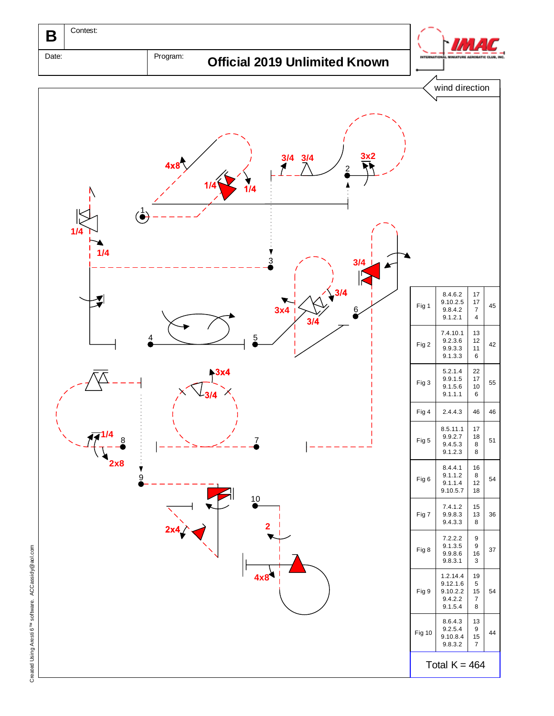